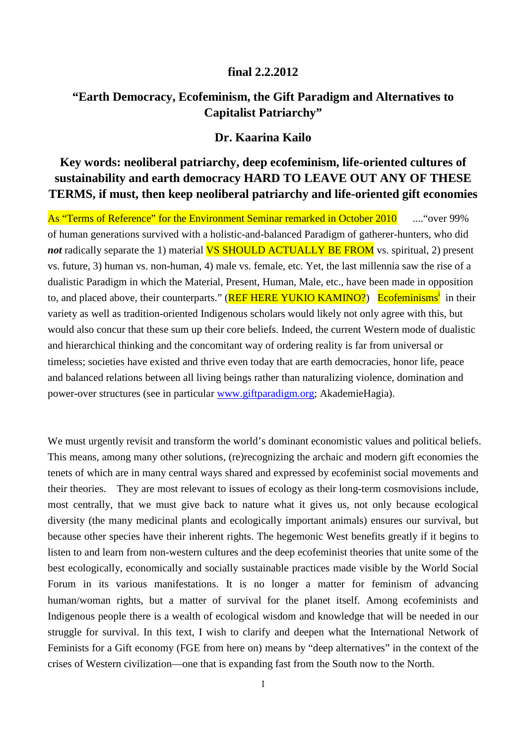## **final 2.2.2012**

## **"Earth Democracy, Ecofeminism, the Gift Paradigm and Alternatives to Capitalist Patriarchy"**

## **Dr. Kaarina Kailo**

# **Key words: neoliberal patriarchy, deep ecofeminism, life-oriented cultures of sustainability and earth democracy HARD TO LEAVE OUT ANY OF THESE TERMS, if must, then keep neoliberal patriarchy and life-oriented gift economies**

As "Terms of Reference" for the Environment Seminar remarked in October 2010 .... "over 99% of human generations survived with a holistic-and-balanced Paradigm of gatherer-hunters, who did *not* radically separate the 1) material **VS SHOULD ACTUALLY BE FROM** vs. spiritual, 2) present vs. future, 3) human vs. non-human, 4) male vs. female, etc. Yet, the last millennia saw the rise of a dualistic Paradigm in which the Material, Present, Human, Male, etc., have been made in opposition to, and placed above, their counterparts." (REF HERE YUKIO KAMINO?) Ecofeminisms<sup>i</sup> in their variety as well as tradition-oriented Indigenous scholars would likely not only agree with this, but would also concur that these sum up their core beliefs. Indeed, the current Western mode of dualistic and hierarchical thinking and the concomitant way of ordering reality is far from universal or timeless; societies have existed and thrive even today that are earth democracies, honor life, peace and balanced relations between all living beings rather than naturalizing violence, domination and power-over structures (see in particular www.giftparadigm.org; AkademieHagia).

We must urgently revisit and transform the world's dominant economistic values and political beliefs. This means, among many other solutions, (re)recognizing the archaic and modern gift economies the tenets of which are in many central ways shared and expressed by ecofeminist social movements and their theories. They are most relevant to issues of ecology as their long-term cosmovisions include, most centrally, that we must give back to nature what it gives us, not only because ecological diversity (the many medicinal plants and ecologically important animals) ensures our survival, but because other species have their inherent rights. The hegemonic West benefits greatly if it begins to listen to and learn from non-western cultures and the deep ecofeminist theories that unite some of the best ecologically, economically and socially sustainable practices made visible by the World Social Forum in its various manifestations. It is no longer a matter for feminism of advancing human/woman rights, but a matter of survival for the planet itself. Among ecofeminists and Indigenous people there is a wealth of ecological wisdom and knowledge that will be needed in our struggle for survival. In this text, I wish to clarify and deepen what the International Network of Feminists for a Gift economy (FGE from here on) means by "deep alternatives" in the context of the crises of Western civilization—one that is expanding fast from the South now to the North.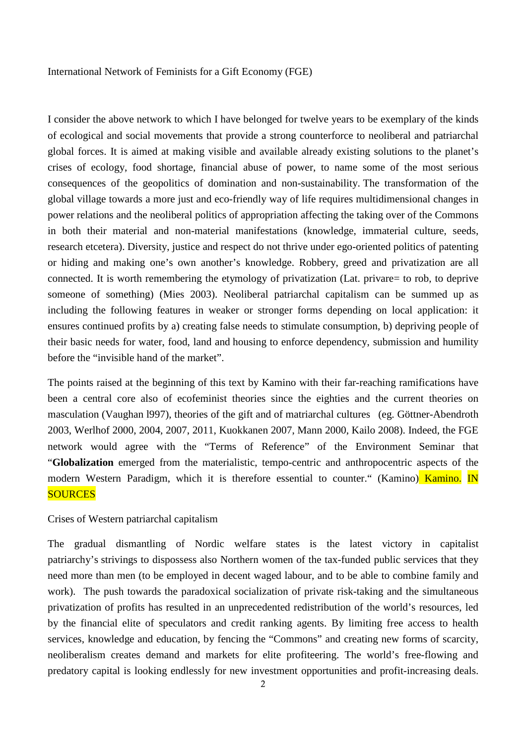#### International Network of Feminists for a Gift Economy (FGE)

I consider the above network to which I have belonged for twelve years to be exemplary of the kinds of ecological and social movements that provide a strong counterforce to neoliberal and patriarchal global forces. It is aimed at making visible and available already existing solutions to the planet's crises of ecology, food shortage, financial abuse of power, to name some of the most serious consequences of the geopolitics of domination and non-sustainability. The transformation of the global village towards a more just and eco-friendly way of life requires multidimensional changes in power relations and the neoliberal politics of appropriation affecting the taking over of the Commons in both their material and non-material manifestations (knowledge, immaterial culture, seeds, research etcetera). Diversity, justice and respect do not thrive under ego-oriented politics of patenting or hiding and making one's own another's knowledge. Robbery, greed and privatization are all connected. It is worth remembering the etymology of privatization (Lat. privare= to rob, to deprive someone of something) (Mies 2003). Neoliberal patriarchal capitalism can be summed up as including the following features in weaker or stronger forms depending on local application: it ensures continued profits by a) creating false needs to stimulate consumption, b) depriving people of their basic needs for water, food, land and housing to enforce dependency, submission and humility before the "invisible hand of the market".

The points raised at the beginning of this text by Kamino with their far-reaching ramifications have been a central core also of ecofeminist theories since the eighties and the current theories on masculation (Vaughan l997), theories of the gift and of matriarchal cultures (eg. Göttner-Abendroth 2003, Werlhof 2000, 2004, 2007, 2011, Kuokkanen 2007, Mann 2000, Kailo 2008). Indeed, the FGE network would agree with the "Terms of Reference" of the Environment Seminar that "**Globalization** emerged from the materialistic, tempo-centric and anthropocentric aspects of the modern Western Paradigm, which it is therefore essential to counter." (Kamino) Kamino. IN **SOURCES** 

#### Crises of Western patriarchal capitalism

The gradual dismantling of Nordic welfare states is the latest victory in capitalist patriarchy's strivings to dispossess also Northern women of the tax-funded public services that they need more than men (to be employed in decent waged labour, and to be able to combine family and work). The push towards the paradoxical socialization of private risk-taking and the simultaneous privatization of profits has resulted in an unprecedented redistribution of the world's resources, led by the financial elite of speculators and credit ranking agents. By limiting free access to health services, knowledge and education, by fencing the "Commons" and creating new forms of scarcity, neoliberalism creates demand and markets for elite profiteering. The world's free-flowing and predatory capital is looking endlessly for new investment opportunities and profit-increasing deals.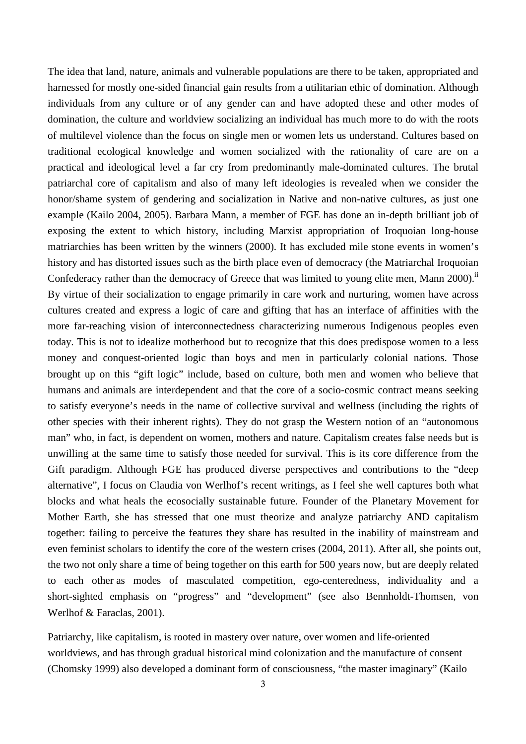The idea that land, nature, animals and vulnerable populations are there to be taken, appropriated and harnessed for mostly one-sided financial gain results from a utilitarian ethic of domination. Although individuals from any culture or of any gender can and have adopted these and other modes of domination, the culture and worldview socializing an individual has much more to do with the roots of multilevel violence than the focus on single men or women lets us understand. Cultures based on traditional ecological knowledge and women socialized with the rationality of care are on a practical and ideological level a far cry from predominantly male-dominated cultures. The brutal patriarchal core of capitalism and also of many left ideologies is revealed when we consider the honor/shame system of gendering and socialization in Native and non-native cultures, as just one example (Kailo 2004, 2005). Barbara Mann, a member of FGE has done an in-depth brilliant job of exposing the extent to which history, including Marxist appropriation of Iroquoian long-house matriarchies has been written by the winners (2000). It has excluded mile stone events in women's history and has distorted issues such as the birth place even of democracy (the Matriarchal Iroquoian Confederacy rather than the democracy of Greece that was limited to young elite men, Mann 2000).<sup>ii</sup> By virtue of their socialization to engage primarily in care work and nurturing, women have across cultures created and express a logic of care and gifting that has an interface of affinities with the more far-reaching vision of interconnectedness characterizing numerous Indigenous peoples even today. This is not to idealize motherhood but to recognize that this does predispose women to a less money and conquest-oriented logic than boys and men in particularly colonial nations. Those brought up on this "gift logic" include, based on culture, both men and women who believe that humans and animals are interdependent and that the core of a socio-cosmic contract means seeking to satisfy everyone's needs in the name of collective survival and wellness (including the rights of other species with their inherent rights). They do not grasp the Western notion of an "autonomous man" who, in fact, is dependent on women, mothers and nature. Capitalism creates false needs but is unwilling at the same time to satisfy those needed for survival. This is its core difference from the Gift paradigm. Although FGE has produced diverse perspectives and contributions to the "deep alternative", I focus on Claudia von Werlhof's recent writings, as I feel she well captures both what blocks and what heals the ecosocially sustainable future. Founder of the Planetary Movement for Mother Earth, she has stressed that one must theorize and analyze patriarchy AND capitalism together: failing to perceive the features they share has resulted in the inability of mainstream and even feminist scholars to identify the core of the western crises (2004, 2011). After all, she points out, the two not only share a time of being together on this earth for 500 years now, but are deeply related to each other as modes of masculated competition, ego-centeredness, individuality and a short-sighted emphasis on "progress" and "development" (see also Bennholdt-Thomsen, von Werlhof & Faraclas, 2001).

Patriarchy, like capitalism, is rooted in mastery over nature, over women and life-oriented worldviews, and has through gradual historical mind colonization and the manufacture of consent (Chomsky 1999) also developed a dominant form of consciousness, "the master imaginary" (Kailo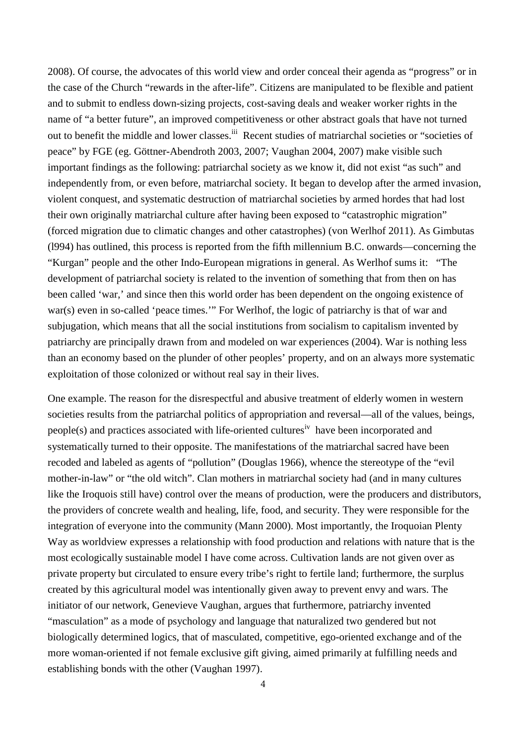2008). Of course, the advocates of this world view and order conceal their agenda as "progress" or in the case of the Church "rewards in the after-life". Citizens are manipulated to be flexible and patient and to submit to endless down-sizing projects, cost-saving deals and weaker worker rights in the name of "a better future", an improved competitiveness or other abstract goals that have not turned out to benefit the middle and lower classes.<sup>iii</sup> Recent studies of matriarchal societies or "societies of peace" by FGE (eg. Göttner-Abendroth 2003, 2007; Vaughan 2004, 2007) make visible such important findings as the following: patriarchal society as we know it, did not exist "as such" and independently from, or even before, matriarchal society. It began to develop after the armed invasion, violent conquest, and systematic destruction of matriarchal societies by armed hordes that had lost their own originally matriarchal culture after having been exposed to "catastrophic migration" (forced migration due to climatic changes and other catastrophes) (von Werlhof 2011). As Gimbutas (l994) has outlined, this process is reported from the fifth millennium B.C. onwards—concerning the "Kurgan" people and the other Indo-European migrations in general. As Werlhof sums it: "The development of patriarchal society is related to the invention of something that from then on has been called 'war,' and since then this world order has been dependent on the ongoing existence of war(s) even in so-called 'peace times.'" For Werlhof, the logic of patriarchy is that of war and subjugation, which means that all the social institutions from socialism to capitalism invented by patriarchy are principally drawn from and modeled on war experiences (2004). War is nothing less than an economy based on the plunder of other peoples' property, and on an always more systematic exploitation of those colonized or without real say in their lives.

One example. The reason for the disrespectful and abusive treatment of elderly women in western societies results from the patriarchal politics of appropriation and reversal—all of the values, beings, people(s) and practices associated with life-oriented cultures<sup>iv</sup> have been incorporated and systematically turned to their opposite. The manifestations of the matriarchal sacred have been recoded and labeled as agents of "pollution" (Douglas 1966), whence the stereotype of the "evil mother-in-law" or "the old witch". Clan mothers in matriarchal society had (and in many cultures like the Iroquois still have) control over the means of production, were the producers and distributors, the providers of concrete wealth and healing, life, food, and security. They were responsible for the integration of everyone into the community (Mann 2000). Most importantly, the Iroquoian Plenty Way as worldview expresses a relationship with food production and relations with nature that is the most ecologically sustainable model I have come across. Cultivation lands are not given over as private property but circulated to ensure every tribe's right to fertile land; furthermore, the surplus created by this agricultural model was intentionally given away to prevent envy and wars. The initiator of our network, Genevieve Vaughan, argues that furthermore, patriarchy invented "masculation" as a mode of psychology and language that naturalized two gendered but not biologically determined logics, that of masculated, competitive, ego-oriented exchange and of the more woman-oriented if not female exclusive gift giving, aimed primarily at fulfilling needs and establishing bonds with the other (Vaughan 1997).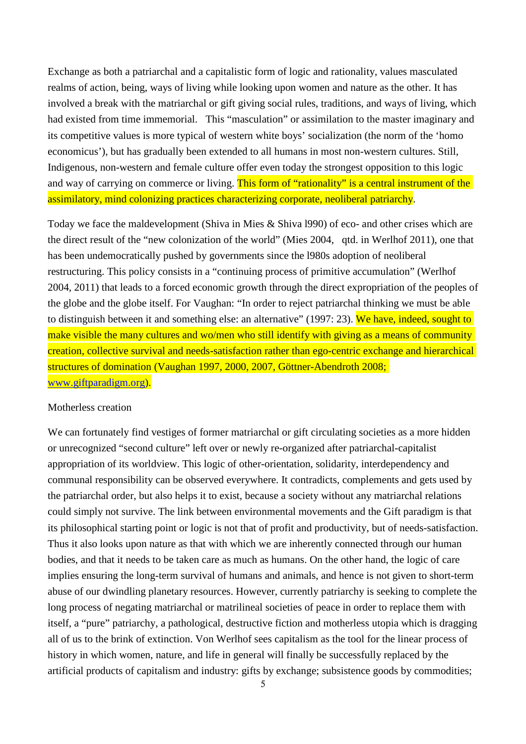Exchange as both a patriarchal and a capitalistic form of logic and rationality, values masculated realms of action, being, ways of living while looking upon women and nature as the other. It has involved a break with the matriarchal or gift giving social rules, traditions, and ways of living, which had existed from time immemorial. This "masculation" or assimilation to the master imaginary and its competitive values is more typical of western white boys' socialization (the norm of the 'homo economicus'), but has gradually been extended to all humans in most non-western cultures. Still, Indigenous, non-western and female culture offer even today the strongest opposition to this logic and way of carrying on commerce or living. This form of "rationality" is a central instrument of the assimilatory, mind colonizing practices characterizing corporate, neoliberal patriarchy.

Today we face the maldevelopment (Shiva in Mies & Shiva l990) of eco- and other crises which are the direct result of the "new colonization of the world" (Mies 2004, qtd. in Werlhof 2011), one that has been undemocratically pushed by governments since the l980s adoption of neoliberal restructuring. This policy consists in a "continuing process of primitive accumulation" (Werlhof 2004, 2011) that leads to a forced economic growth through the direct expropriation of the peoples of the globe and the globe itself. For Vaughan: "In order to reject patriarchal thinking we must be able to distinguish between it and something else: an alternative" (1997: 23). We have, indeed, sought to make visible the many cultures and wo/men who still identify with giving as a means of community creation, collective survival and needs-satisfaction rather than ego-centric exchange and hierarchical structures of domination (Vaughan 1997, 2000, 2007, Göttner-Abendroth 2008; www.giftparadigm.org).

#### Motherless creation

We can fortunately find vestiges of former matriarchal or gift circulating societies as a more hidden or unrecognized "second culture" left over or newly re-organized after patriarchal-capitalist appropriation of its worldview. This logic of other-orientation, solidarity, interdependency and communal responsibility can be observed everywhere. It contradicts, complements and gets used by the patriarchal order, but also helps it to exist, because a society without any matriarchal relations could simply not survive. The link between environmental movements and the Gift paradigm is that its philosophical starting point or logic is not that of profit and productivity, but of needs-satisfaction. Thus it also looks upon nature as that with which we are inherently connected through our human bodies, and that it needs to be taken care as much as humans. On the other hand, the logic of care implies ensuring the long-term survival of humans and animals, and hence is not given to short-term abuse of our dwindling planetary resources. However, currently patriarchy is seeking to complete the long process of negating matriarchal or matrilineal societies of peace in order to replace them with itself, a "pure" patriarchy, a pathological, destructive fiction and motherless utopia which is dragging all of us to the brink of extinction. Von Werlhof sees capitalism as the tool for the linear process of history in which women, nature, and life in general will finally be successfully replaced by the artificial products of capitalism and industry: gifts by exchange; subsistence goods by commodities;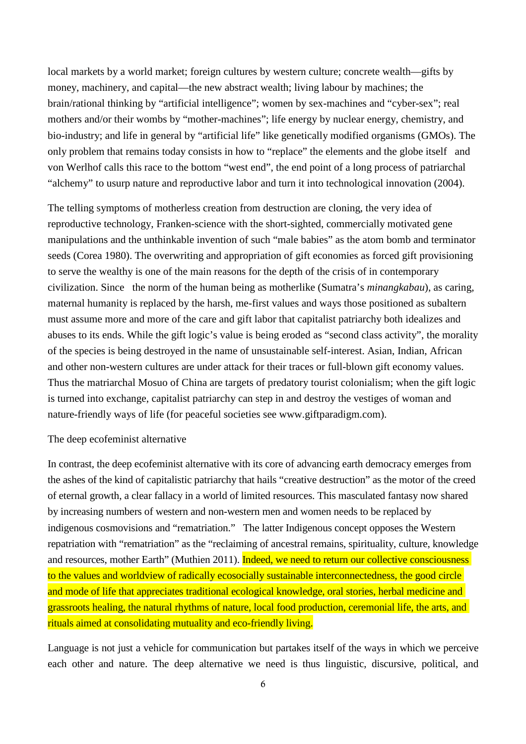local markets by a world market; foreign cultures by western culture; concrete wealth—gifts by money, machinery, and capital—the new abstract wealth; living labour by machines; the brain/rational thinking by "artificial intelligence"; women by sex-machines and "cyber-sex"; real mothers and/or their wombs by "mother-machines"; life energy by nuclear energy, chemistry, and bio-industry; and life in general by "artificial life" like genetically modified organisms (GMOs). The only problem that remains today consists in how to "replace" the elements and the globe itself and von Werlhof calls this race to the bottom "west end", the end point of a long process of patriarchal "alchemy" to usurp nature and reproductive labor and turn it into technological innovation (2004).

The telling symptoms of motherless creation from destruction are cloning, the very idea of reproductive technology, Franken-science with the short-sighted, commercially motivated gene manipulations and the unthinkable invention of such "male babies" as the atom bomb and terminator seeds (Corea 1980). The overwriting and appropriation of gift economies as forced gift provisioning to serve the wealthy is one of the main reasons for the depth of the crisis of in contemporary civilization. Since the norm of the human being as motherlike (Sumatra's *minangkabau*), as caring, maternal humanity is replaced by the harsh, me-first values and ways those positioned as subaltern must assume more and more of the care and gift labor that capitalist patriarchy both idealizes and abuses to its ends. While the gift logic's value is being eroded as "second class activity", the morality of the species is being destroyed in the name of unsustainable self-interest. Asian, Indian, African and other non-western cultures are under attack for their traces or full-blown gift economy values. Thus the matriarchal Mosuo of China are targets of predatory tourist colonialism; when the gift logic is turned into exchange, capitalist patriarchy can step in and destroy the vestiges of woman and nature-friendly ways of life (for peaceful societies see www.giftparadigm.com).

#### The deep ecofeminist alternative

In contrast, the deep ecofeminist alternative with its core of advancing earth democracy emerges from the ashes of the kind of capitalistic patriarchy that hails "creative destruction" as the motor of the creed of eternal growth, a clear fallacy in a world of limited resources. This masculated fantasy now shared by increasing numbers of western and non-western men and women needs to be replaced by indigenous cosmovisions and "rematriation." The latter Indigenous concept opposes the Western repatriation with "rematriation" as the "reclaiming of ancestral remains, spirituality, culture, knowledge and resources, mother Earth" (Muthien 2011). Indeed, we need to return our collective consciousness to the values and worldview of radically ecosocially sustainable interconnectedness, the good circle and mode of life that appreciates traditional ecological knowledge, oral stories, herbal medicine and grassroots healing, the natural rhythms of nature, local food production, ceremonial life, the arts, and rituals aimed at consolidating mutuality and eco-friendly living.

Language is not just a vehicle for communication but partakes itself of the ways in which we perceive each other and nature. The deep alternative we need is thus linguistic, discursive, political, and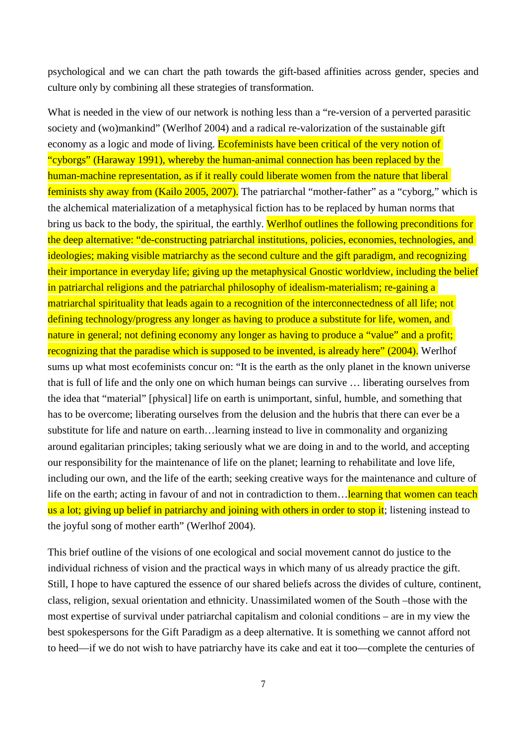psychological and we can chart the path towards the gift-based affinities across gender, species and culture only by combining all these strategies of transformation.

What is needed in the view of our network is nothing less than a "re-version of a perverted parasitic society and (wo)mankind" (Werlhof 2004) and a radical re-valorization of the sustainable gift economy as a logic and mode of living. Ecofeminists have been critical of the very notion of "cyborgs" (Haraway 1991), whereby the human-animal connection has been replaced by the human-machine representation, as if it really could liberate women from the nature that liberal feminists shy away from (Kailo 2005, 2007). The patriarchal "mother-father" as a "cyborg," which is the alchemical materialization of a metaphysical fiction has to be replaced by human norms that bring us back to the body, the spiritual, the earthly. Werlhof outlines the following preconditions for the deep alternative: "de-constructing patriarchal institutions, policies, economies, technologies, and ideologies; making visible matriarchy as the second culture and the gift paradigm, and recognizing their importance in everyday life; giving up the metaphysical Gnostic worldview, including the belief in patriarchal religions and the patriarchal philosophy of idealism-materialism; re-gaining a matriarchal spirituality that leads again to a recognition of the interconnectedness of all life; not defining technology/progress any longer as having to produce a substitute for life, women, and nature in general; not defining economy any longer as having to produce a "value" and a profit; recognizing that the paradise which is supposed to be invented, is already here" (2004). Werlhof sums up what most ecofeminists concur on: "It is the earth as the only planet in the known universe that is full of life and the only one on which human beings can survive … liberating ourselves from the idea that "material" [physical] life on earth is unimportant, sinful, humble, and something that has to be overcome; liberating ourselves from the delusion and the hubris that there can ever be a substitute for life and nature on earth…learning instead to live in commonality and organizing around egalitarian principles; taking seriously what we are doing in and to the world, and accepting our responsibility for the maintenance of life on the planet; learning to rehabilitate and love life, including our own, and the life of the earth; seeking creative ways for the maintenance and culture of life on the earth; acting in favour of and not in contradiction to them... learning that women can teach us a lot; giving up belief in patriarchy and joining with others in order to stop it; listening instead to the joyful song of mother earth" (Werlhof 2004).

This brief outline of the visions of one ecological and social movement cannot do justice to the individual richness of vision and the practical ways in which many of us already practice the gift. Still, I hope to have captured the essence of our shared beliefs across the divides of culture, continent, class, religion, sexual orientation and ethnicity. Unassimilated women of the South –those with the most expertise of survival under patriarchal capitalism and colonial conditions – are in my view the best spokespersons for the Gift Paradigm as a deep alternative. It is something we cannot afford not to heed—if we do not wish to have patriarchy have its cake and eat it too—complete the centuries of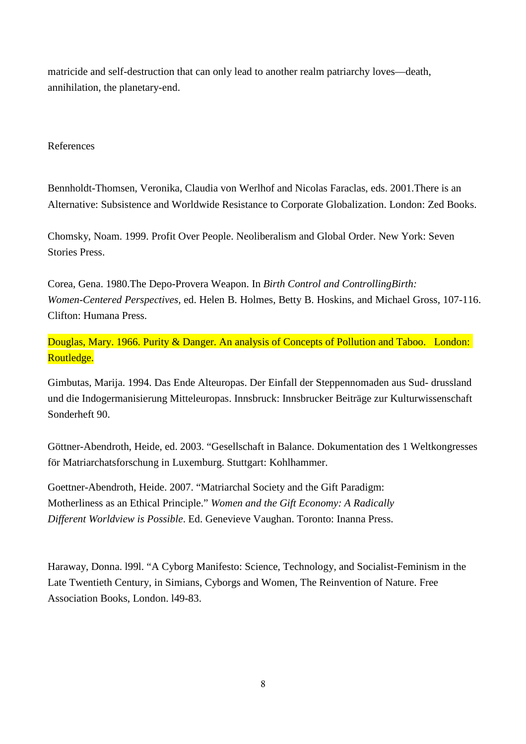matricide and self-destruction that can only lead to another realm patriarchy loves—death, annihilation, the planetary-end.

## References

Bennholdt-Thomsen, Veronika, Claudia von Werlhof and Nicolas Faraclas, eds. 2001.There is an Alternative: Subsistence and Worldwide Resistance to Corporate Globalization. London: Zed Books.

Chomsky, Noam. 1999. Profit Over People. Neoliberalism and Global Order. New York: Seven Stories Press.

Corea, Gena. 1980.The Depo-Provera Weapon. In *Birth Control and ControllingBirth: Women-Centered Perspectives,* ed. Helen B. Holmes, Betty B. Hoskins, and Michael Gross, 107-116. Clifton: Humana Press.

Douglas, Mary. 1966. Purity & Danger. An analysis of Concepts of Pollution and Taboo. London: Routledge.

Gimbutas, Marija. 1994. Das Ende Alteuropas. Der Einfall der Steppennomaden aus Sud- drussland und die Indogermanisierung Mitteleuropas. Innsbruck: Innsbrucker Beiträge zur Kulturwissenschaft Sonderheft 90.

Göttner-Abendroth, Heide, ed. 2003. "Gesellschaft in Balance. Dokumentation des 1 Weltkongresses för Matriarchatsforschung in Luxemburg. Stuttgart: Kohlhammer.

Goettner-Abendroth, Heide. 2007. "Matriarchal Society and the Gift Paradigm: Motherliness as an Ethical Principle." *Women and the Gift Economy: A Radically Different Worldview is Possible*. Ed. Genevieve Vaughan. Toronto: Inanna Press.

Haraway, Donna. l99l. "A Cyborg Manifesto: Science, Technology, and Socialist-Feminism in the Late Twentieth Century, in Simians, Cyborgs and Women, The Reinvention of Nature. Free Association Books, London. l49-83.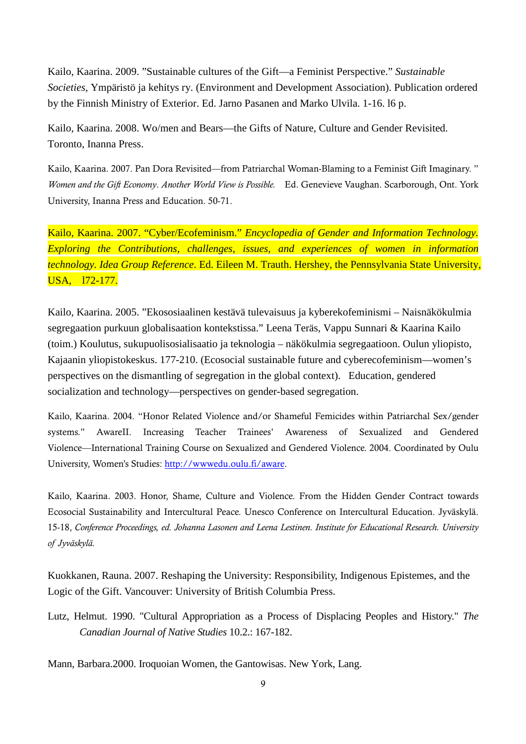Kailo, Kaarina. 2009. "Sustainable cultures of the Gift—a Feminist Perspective." *Sustainable Societies*, Ympäristö ja kehitys ry. (Environment and Development Association). Publication ordered by the Finnish Ministry of Exterior. Ed. Jarno Pasanen and Marko Ulvila. 1-16. l6 p.

Kailo, Kaarina. 2008. Wo/men and Bears—the Gifts of Nature, Culture and Gender Revisited. Toronto, Inanna Press.

Kailo, Kaarina. 2007. Pan Dora Revisited—from Patriarchal Woman-Blaming to a Feminist Gift Imaginary. " *Women and the Gift Economy*. *Another World View is Possible.* Ed. Genevieve Vaughan. Scarborough, Ont. York University, Inanna Press and Education. 50-71.

Kailo, Kaarina. 2007. "Cyber/Ecofeminism." *Encyclopedia of Gender and Information Technology. Exploring the Contributions, challenges, issues, and experiences of women in information technology. Idea Group Reference*. Ed. Eileen M. Trauth. Hershey, the Pennsylvania State University, USA, l72-177.

Kailo, Kaarina. 2005. "Ekososiaalinen kestävä tulevaisuus ja kyberekofeminismi – Naisnäkökulmia segregaation purkuun globalisaation kontekstissa." Leena Teräs, Vappu Sunnari & Kaarina Kailo (toim.) Koulutus, sukupuolisosialisaatio ja teknologia – näkökulmia segregaatioon. Oulun yliopisto, Kajaanin yliopistokeskus. 177-210. (Ecosocial sustainable future and cyberecofeminism—women's perspectives on the dismantling of segregation in the global context). Education, gendered socialization and technology—perspectives on gender-based segregation.

Kailo, Kaarina. 2004. "Honor Related Violence and/or Shameful Femicides within Patriarchal Sex/gender systems." AwareII. Increasing Teacher Trainees' Awareness of Sexualized and Gendered Violence—International Training Course on Sexualized and Gendered Violence. 2004. Coordinated by Oulu University, Women's Studies: http://wwwedu.oulu.fi/aware.

Kailo, Kaarina. 2003. Honor, Shame, Culture and Violence. From the Hidden Gender Contract towards Ecosocial Sustainability and Intercultural Peace. Unesco Conference on Intercultural Education. Jyväskylä. 15-18, *Conference Proceedings, ed. Johanna Lasonen and Leena Lestinen. Institute for Educational Research. University of Jyväskylä.* 

Kuokkanen, Rauna. 2007. Reshaping the University: Responsibility, Indigenous Epistemes, and the Logic of the Gift. Vancouver: University of British Columbia Press.

Lutz, Helmut. 1990. "Cultural Appropriation as a Process of Displacing Peoples and History." *The Canadian Journal of Native Studies* 10.2.: 167-182.

Mann, Barbara.2000. Iroquoian Women, the Gantowisas. New York, Lang.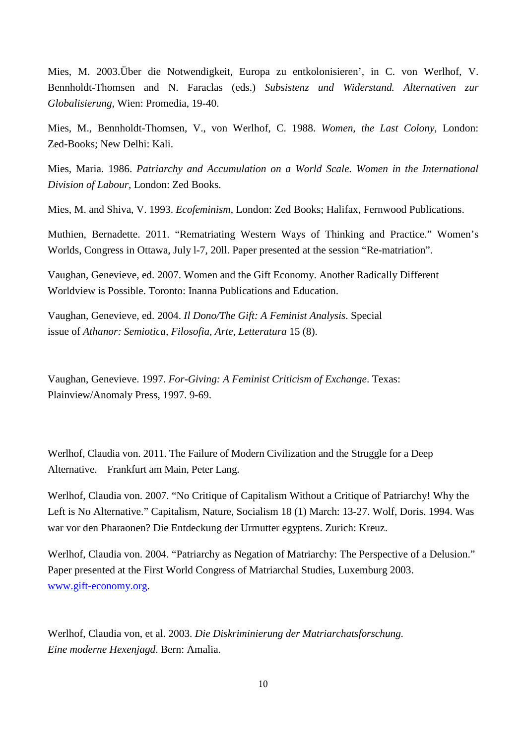Mies, M. 2003.Über die Notwendigkeit, Europa zu entkolonisieren', in C. von Werlhof, V. Bennholdt-Thomsen and N. Faraclas (eds.) *Subsistenz und Widerstand. Alternativen zur Globalisierung,* Wien: Promedia, 19-40.

Mies, M., Bennholdt-Thomsen, V., von Werlhof, C. 1988. *Women, the Last Colony*, London: Zed-Books; New Delhi: Kali.

Mies, Maria. 1986. *Patriarchy and Accumulation on a World Scale. Women in the International Division of Labour,* London: Zed Books.

Mies, M. and Shiva, V. 1993. *Ecofeminism*, London: Zed Books; Halifax, Fernwood Publications.

Muthien, Bernadette. 2011. "Rematriating Western Ways of Thinking and Practice." Women's Worlds, Congress in Ottawa, July l-7, 20ll. Paper presented at the session "Re-matriation".

Vaughan, Genevieve, ed. 2007. Women and the Gift Economy. Another Radically Different Worldview is Possible. Toronto: Inanna Publications and Education.

Vaughan, Genevieve, ed. 2004. *Il Dono/The Gift: A Feminist Analysis*. Special issue of *Athanor: Semiotica, Filosofia, Arte, Letteratura* 15 (8).

Vaughan, Genevieve. 1997. *For-Giving: A Feminist Criticism of Exchange*. Texas: Plainview/Anomaly Press, 1997. 9-69.

Werlhof, Claudia von. 2011. The Failure of Modern Civilization and the Struggle for a Deep Alternative. Frankfurt am Main, Peter Lang.

Werlhof, Claudia von. 2007. "No Critique of Capitalism Without a Critique of Patriarchy! Why the Left is No Alternative." Capitalism, Nature, Socialism 18 (1) March: 13-27. Wolf, Doris. 1994. Was war vor den Pharaonen? Die Entdeckung der Urmutter egyptens. Zurich: Kreuz.

Werlhof, Claudia von. 2004. "Patriarchy as Negation of Matriarchy: The Perspective of a Delusion." Paper presented at the First World Congress of Matriarchal Studies, Luxemburg 2003. www.gift-economy.org.

Werlhof, Claudia von, et al. 2003. *Die Diskriminierung der Matriarchatsforschung. Eine moderne Hexenjagd*. Bern: Amalia.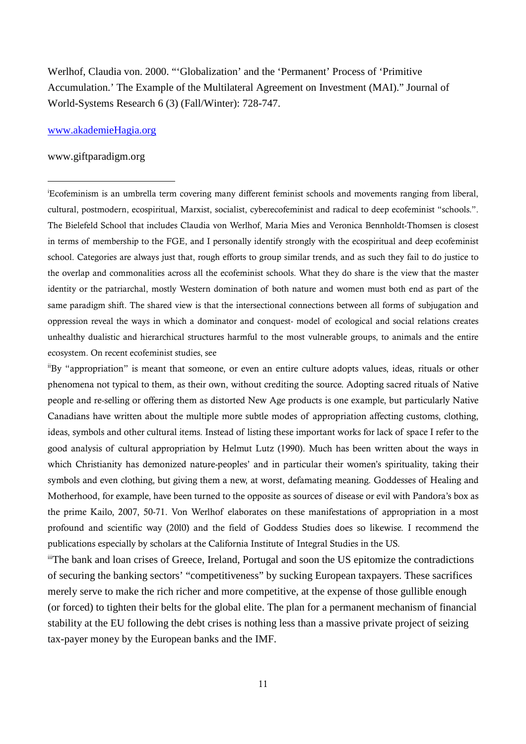Werlhof, Claudia von. 2000. "'Globalization' and the 'Permanent' Process of 'Primitive Accumulation.' The Example of the Multilateral Agreement on Investment (MAI)." Journal of World-Systems Research 6 (3) (Fall/Winter): 728-747.

#### www.akademieHagia.org

#### www.giftparadigm.org

 $\ddot{ }$ 

<sup>i</sup>Ecofeminism is an umbrella term covering many different feminist schools and movements ranging from liberal, cultural, postmodern, ecospiritual, Marxist, socialist, cyberecofeminist and radical to deep ecofeminist "schools.". The Bielefeld School that includes Claudia von Werlhof, Maria Mies and Veronica Bennholdt-Thomsen is closest in terms of membership to the FGE, and I personally identify strongly with the ecospiritual and deep ecofeminist school. Categories are always just that, rough efforts to group similar trends, and as such they fail to do justice to the overlap and commonalities across all the ecofeminist schools. What they do share is the view that the master identity or the patriarchal, mostly Western domination of both nature and women must both end as part of the same paradigm shift. The shared view is that the intersectional connections between all forms of subjugation and oppression reveal the ways in which a dominator and conquest- model of ecological and social relations creates unhealthy dualistic and hierarchical structures harmful to the most vulnerable groups, to animals and the entire ecosystem. On recent ecofeminist studies, see

iiBy "appropriation" is meant that someone, or even an entire culture adopts values, ideas, rituals or other phenomena not typical to them, as their own, without crediting the source. Adopting sacred rituals of Native people and re-selling or offering them as distorted New Age products is one example, but particularly Native Canadians have written about the multiple more subtle modes of appropriation affecting customs, clothing, ideas, symbols and other cultural items. Instead of listing these important works for lack of space I refer to the good analysis of cultural appropriation by Helmut Lutz (1990). Much has been written about the ways in which Christianity has demonized nature-peoples' and in particular their women's spirituality, taking their symbols and even clothing, but giving them a new, at worst, defamating meaning. Goddesses of Healing and Motherhood, for example, have been turned to the opposite as sources of disease or evil with Pandora's box as the prime Kailo, 2007, 50-71. Von Werlhof elaborates on these manifestations of appropriation in a most profound and scientific way (20l0) and the field of Goddess Studies does so likewise. I recommend the publications especially by scholars at the California Institute of Integral Studies in the US.

iiiThe bank and loan crises of Greece, Ireland, Portugal and soon the US epitomize the contradictions of securing the banking sectors' "competitiveness" by sucking European taxpayers. These sacrifices merely serve to make the rich richer and more competitive, at the expense of those gullible enough (or forced) to tighten their belts for the global elite. The plan for a permanent mechanism of financial stability at the EU following the debt crises is nothing less than a massive private project of seizing tax-payer money by the European banks and the IMF.